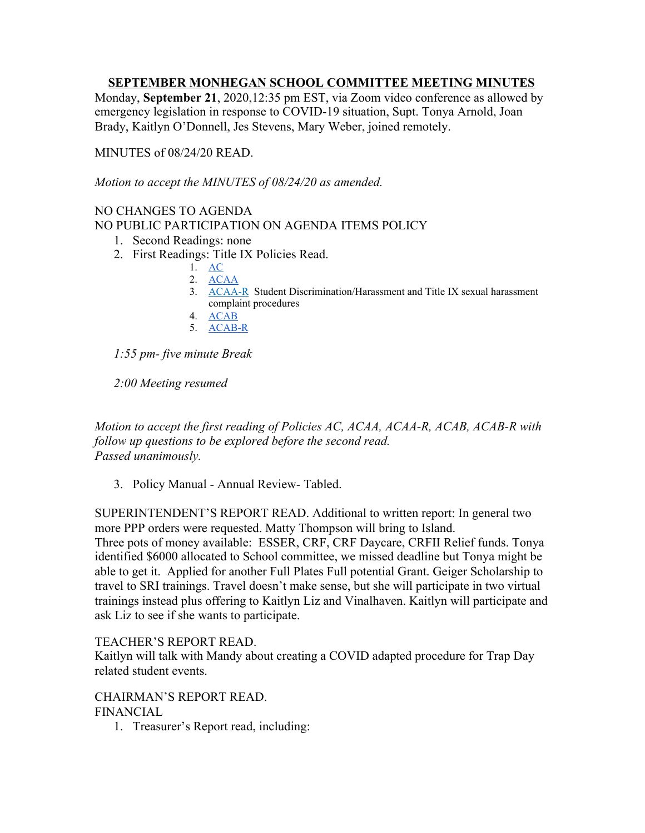## **SEPTEMBER MONHEGAN SCHOOL COMMITTEE MEETING MINUTES**

Monday, **September 21**, 2020,12:35 pm EST, via Zoom video conference as allowed by emergency legislation in response to COVID-19 situation, Supt. Tonya Arnold, Joan Brady, Kaitlyn O'Donnell, Jes Stevens, Mary Weber, joined remotely.

MINUTES of 08/24/20 READ.

*Motion to accept the MINUTES of 08/24/20 as amended.*

# NO CHANGES TO AGENDA

NO PUBLIC PARTICIPATION ON AGENDA ITEMS POLICY

- 1. Second Readings: none
- 2. First Readings: Title IX Policies Read.
	- 1. [AC](https://docs.google.com/document/d/1QWzxrqcsuyTPBaw1oot5OAKxFFUCMnpQgQtaw94t5Ak/edit) 2. [ACAA](https://docs.google.com/document/d/1PCCNd4J2V53b2WMlphmROjsi4fJZ_v_D8pmKyFK7AN4/edit)
	- 3. [ACAA-R](https://docs.google.com/document/d/1XMz34oZnA_FeHiBJ1Ag0oTpLxvXXcqupzwIhMkMVwSo/edit) Student Discrimination/Harassment and Title IX sexual harassment complaint procedures
	- 4. [ACAB](https://docs.google.com/document/d/1D5NHbVtlVoa8kEHCDVu06izsx4kIkasdl2vx9-zJbZY/edit)
	- 5. [ACAB-R](https://docs.google.com/document/d/1XMz34oZnA_FeHiBJ1Ag0oTpLxvXXcqupzwIhMkMVwSo/edit)

*1:55 pm- five minute Break*

*2:00 Meeting resumed*

*Motion to accept the first reading of Policies AC, ACAA, ACAA-R, ACAB, ACAB-R with follow up questions to be explored before the second read. Passed unanimously.*

3. Policy Manual - Annual Review- Tabled.

SUPERINTENDENT'S REPORT READ. Additional to written report: In general two more PPP orders were requested. Matty Thompson will bring to Island. Three pots of money available: ESSER, CRF, CRF Daycare, CRFII Relief funds. Tonya identified \$6000 allocated to School committee, we missed deadline but Tonya might be able to get it. Applied for another Full Plates Full potential Grant. Geiger Scholarship to travel to SRI trainings. Travel doesn't make sense, but she will participate in two virtual trainings instead plus offering to Kaitlyn Liz and Vinalhaven. Kaitlyn will participate and ask Liz to see if she wants to participate.

### TEACHER'S REPORT READ.

Kaitlyn will talk with Mandy about creating a COVID adapted procedure for Trap Day related student events.

# CHAIRMAN'S REPORT READ.

# FINANCIAL

1. Treasurer's Report read, including: